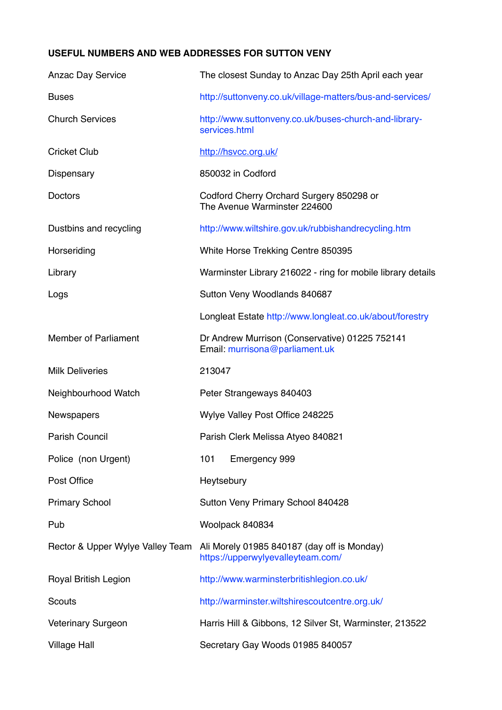## **USEFUL NUMBERS AND WEB ADDRESSES FOR SUTTON VENY**

| <b>Anzac Day Service</b>         | The closest Sunday to Anzac Day 25th April each year                             |
|----------------------------------|----------------------------------------------------------------------------------|
| <b>Buses</b>                     | http://suttonveny.co.uk/village-matters/bus-and-services/                        |
| <b>Church Services</b>           | http://www.suttonveny.co.uk/buses-church-and-library-<br>services.html           |
| <b>Cricket Club</b>              | http://hsvcc.org.uk/                                                             |
| Dispensary                       | 850032 in Codford                                                                |
| Doctors                          | Codford Cherry Orchard Surgery 850298 or<br>The Avenue Warminster 224600         |
| Dustbins and recycling           | http://www.wiltshire.gov.uk/rubbishandrecycling.htm                              |
| Horseriding                      | White Horse Trekking Centre 850395                                               |
| Library                          | Warminster Library 216022 - ring for mobile library details                      |
| Logs                             | Sutton Veny Woodlands 840687                                                     |
|                                  | Longleat Estate http://www.longleat.co.uk/about/forestry                         |
| <b>Member of Parliament</b>      | Dr Andrew Murrison (Conservative) 01225 752141<br>Email: murrisona@parliament.uk |
| <b>Milk Deliveries</b>           | 213047                                                                           |
| Neighbourhood Watch              | Peter Strangeways 840403                                                         |
| Newspapers                       | Wylye Valley Post Office 248225                                                  |
| <b>Parish Council</b>            | Parish Clerk Melissa Atyeo 840821                                                |
| Police (non Urgent)              | 101<br>Emergency 999                                                             |
| Post Office                      | Heytsebury                                                                       |
| <b>Primary School</b>            | Sutton Veny Primary School 840428                                                |
| Pub                              | Woolpack 840834                                                                  |
| Rector & Upper Wylye Valley Team | Ali Morely 01985 840187 (day off is Monday)<br>https://upperwylyevalleyteam.com/ |
| Royal British Legion             | http://www.warminsterbritishlegion.co.uk/                                        |
| Scouts                           | http://warminster.wiltshirescoutcentre.org.uk/                                   |
| <b>Veterinary Surgeon</b>        | Harris Hill & Gibbons, 12 Silver St, Warminster, 213522                          |
| <b>Village Hall</b>              | Secretary Gay Woods 01985 840057                                                 |